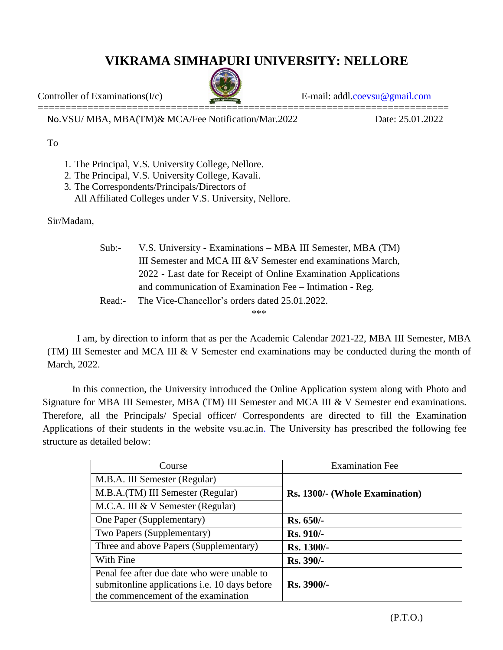## **VIKRAMA SIMHAPURI UNIVERSITY: NELLORE**



Controller of Examinations(I/c) E-mail: addl[.coevsu@gmail.com](mailto:coevsu@gmail.com)

No.VSU/ MBA, MBA(TM)& MCA/Fee Notification/Mar.2022 Date: 25.01.2022

## To

- 1. The Principal, V.S. University College, Nellore.
- 2. The Principal, V.S. University College, Kavali.
- 3. The Correspondents/Principals/Directors of All Affiliated Colleges under V.S. University, Nellore.

Sir/Madam,

| Sub:   | V.S. University - Examinations – MBA III Semester, MBA (TM)     |  |  |
|--------|-----------------------------------------------------------------|--|--|
|        | III Semester and MCA III & V Semester end examinations March,   |  |  |
|        | 2022 - Last date for Receipt of Online Examination Applications |  |  |
|        | and communication of Examination Fee – Intimation - Reg.        |  |  |
| Read:- | The Vice-Chancellor's orders dated 25.01.2022.                  |  |  |

\*\*\*

I am, by direction to inform that as per the Academic Calendar 2021-22, MBA III Semester, MBA (TM) III Semester and MCA III & V Semester end examinations may be conducted during the month of March, 2022.

In this connection, the University introduced the Online Application system along with Photo and Signature for MBA III Semester, MBA (TM) III Semester and MCA III & V Semester end examinations. Therefore, all the Principals/ Special officer/ Correspondents are directed to fill the Examination Applications of their students in the website vsu.ac.in. The University has prescribed the following fee structure as detailed below:

| Course                                               | <b>Examination Fee</b>         |  |
|------------------------------------------------------|--------------------------------|--|
| M.B.A. III Semester (Regular)                        |                                |  |
| M.B.A.(TM) III Semester (Regular)                    | Rs. 1300/- (Whole Examination) |  |
| M.C.A. III & V Semester (Regular)                    |                                |  |
| One Paper (Supplementary)                            | $Rs. 650/-$                    |  |
| Two Papers (Supplementary)                           | Rs. 910/-                      |  |
| Three and above Papers (Supplementary)               | Rs. 1300/-                     |  |
| With Fine                                            | Rs. 390/-                      |  |
| Penal fee after due date who were unable to          |                                |  |
| submitonline applications <i>i.e.</i> 10 days before | Rs. 3900/-                     |  |
| the commencement of the examination                  |                                |  |